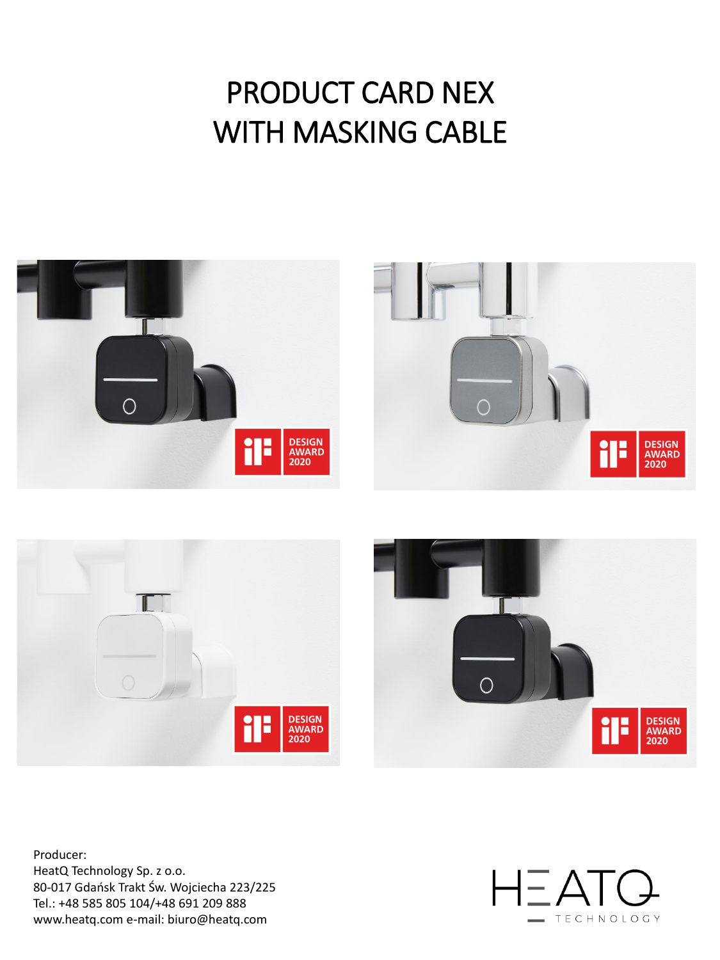# PRODUCT CARD NEX WITH MASKING CABLE







Producer: HeatQ Technology Sp. z o.o. 80-017 Gdańsk Trakt Św. Wojciecha 223/225 Tel.: +48 585 805 104/+48 691 209 888 www.heatq.com e-mail: biuro@heatq.com

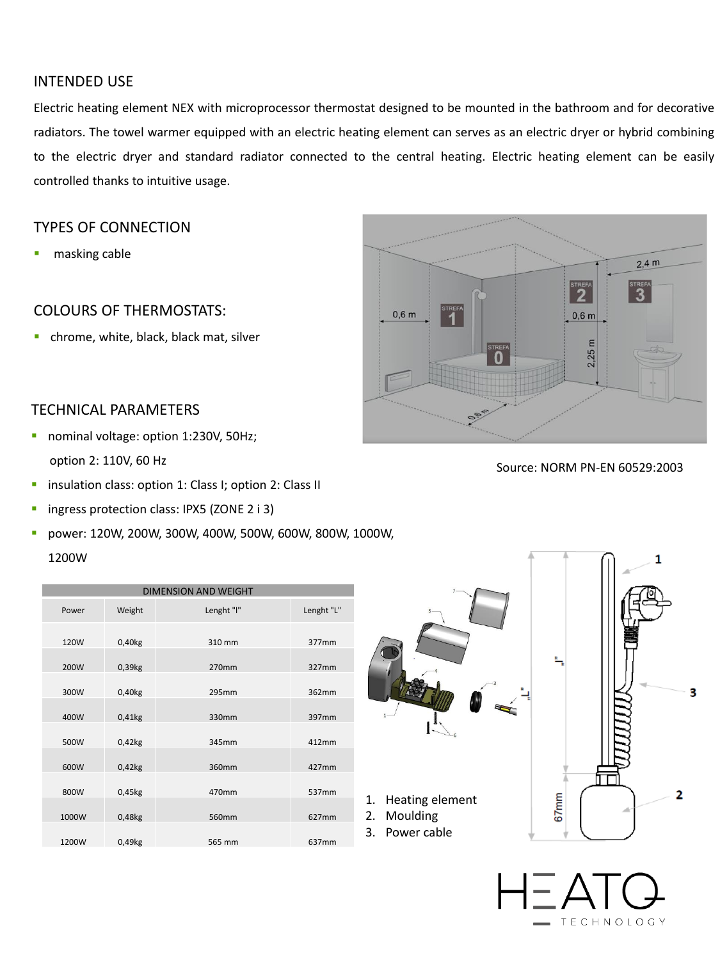| <b>DIMENSION AND WEIGHT</b> |                      |            |                   |  |  |  |  |
|-----------------------------|----------------------|------------|-------------------|--|--|--|--|
| Power                       | Weight               | Lenght "I" | Lenght "L"        |  |  |  |  |
| 120W                        | $0,40$ <sub>kg</sub> | 310 mm     | 377 <sub>mm</sub> |  |  |  |  |
| 200W                        | 0,39kg               | 270mm      | 327mm             |  |  |  |  |



| 300W  | 0,40kg               | 295mm  | 362mm |
|-------|----------------------|--------|-------|
|       |                      |        |       |
| 400W  | $0,41$ <sub>kg</sub> | 330mm  | 397mm |
|       |                      |        |       |
| 500W  | 0,42kg               | 345mm  | 412mm |
|       |                      |        |       |
| 600W  | $0,42$ <sub>kg</sub> | 360mm  | 427mm |
|       |                      |        |       |
| 800W  | 0,45kg               | 470mm  | 537mm |
|       |                      |        |       |
| 1000W | 0,48kg               | 560mm  | 627mm |
|       |                      |        |       |
| 1200W | 0,49kg               | 565 mm | 637mm |



#### INTENDED USE

Electric heating element NEX with microprocessor thermostat designed to be mounted in the bathroom and for decorative radiators. The towel warmer equipped with an electric heating element can serves as an electric dryer or hybrid combining to the electric dryer and standard radiator connected to the central heating. Electric heating element can be easily controlled thanks to intuitive usage.

- nominal voltage: option 1:230V, 50Hz; option 2: 110V, 60 Hz
- **·** insulation class: option 1: Class I; option 2: Class II
- **·** ingress protection class: IPX5 (ZONE 2 i 3)
- power: 120W, 200W, 300W, 400W, 500W, 600W, 800W, 1000W, 1200W

#### TYPES OF CONNECTION

■ masking cable

### COLOURS OF THERMOSTATS:

**·** chrome, white, black, black mat, silver

Source: NORM PN-EN 60529:2003

3



#### TECHNICAL PARAMETERS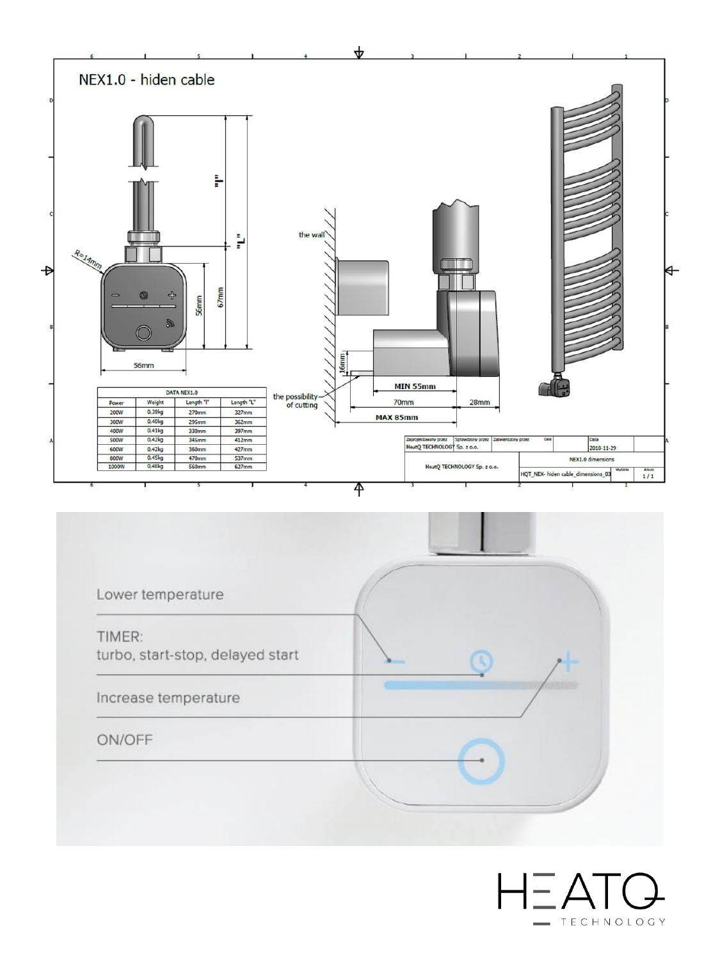



## $H\equiv ATQ$ TECHNOLOGY